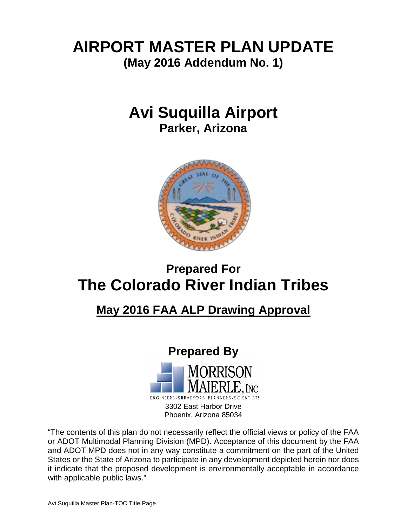# **AIRPORT MASTER PLAN UPDATE (May 2016 Addendum No. 1)**

## **Avi Suquilla Airport Parker, Arizona**



# **Prepared For The Colorado River Indian Tribes**

## **May 2016 FAA ALP Drawing Approval**





3302 East Harbor Drive Phoenix, Arizona 85034

"The contents of this plan do not necessarily reflect the official views or policy of the FAA or ADOT Multimodal Planning Division (MPD). Acceptance of this document by the FAA and ADOT MPD does not in any way constitute a commitment on the part of the United States or the State of Arizona to participate in any development depicted herein nor does it indicate that the proposed development is environmentally acceptable in accordance with applicable public laws."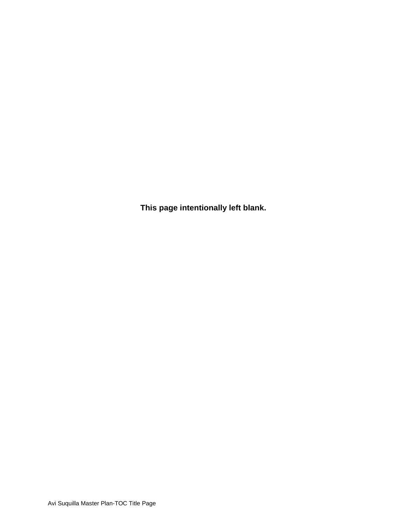**This page intentionally left blank.**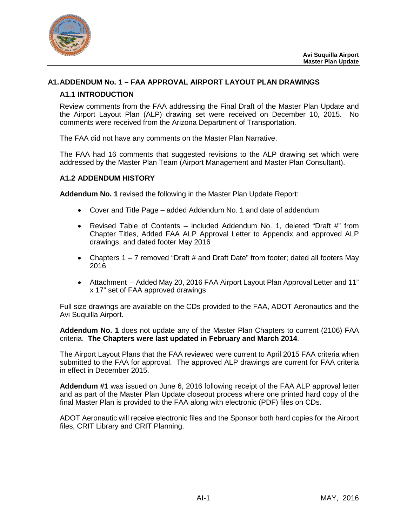

### **A1.ADDENDUM No. 1 – FAA APPROVAL AIRPORT LAYOUT PLAN DRAWINGS**

#### **A1.1 INTRODUCTION**

Review comments from the FAA addressing the Final Draft of the Master Plan Update and the Airport Layout Plan (ALP) drawing set were received on December 10, 2015. No comments were received from the Arizona Department of Transportation.

The FAA did not have any comments on the Master Plan Narrative.

The FAA had 16 comments that suggested revisions to the ALP drawing set which were addressed by the Master Plan Team (Airport Management and Master Plan Consultant).

#### **A1.2 ADDENDUM HISTORY**

**Addendum No. 1** revised the following in the Master Plan Update Report:

- Cover and Title Page added Addendum No. 1 and date of addendum
- Revised Table of Contents included Addendum No. 1, deleted "Draft #" from Chapter Titles, Added FAA ALP Approval Letter to Appendix and approved ALP drawings, and dated footer May 2016
- Chapters 1 7 removed "Draft # and Draft Date" from footer; dated all footers May 2016
- Attachment Added May 20, 2016 FAA Airport Layout Plan Approval Letter and 11" x 17" set of FAA approved drawings

Full size drawings are available on the CDs provided to the FAA, ADOT Aeronautics and the Avi Suquilla Airport.

**Addendum No. 1** does not update any of the Master Plan Chapters to current (2106) FAA criteria. **The Chapters were last updated in February and March 2014**.

The Airport Layout Plans that the FAA reviewed were current to April 2015 FAA criteria when submitted to the FAA for approval. The approved ALP drawings are current for FAA criteria in effect in December 2015.

**Addendum #1** was issued on June 6, 2016 following receipt of the FAA ALP approval letter and as part of the Master Plan Update closeout process where one printed hard copy of the final Master Plan is provided to the FAA along with electronic (PDF) files on CDs.

ADOT Aeronautic will receive electronic files and the Sponsor both hard copies for the Airport files, CRIT Library and CRIT Planning.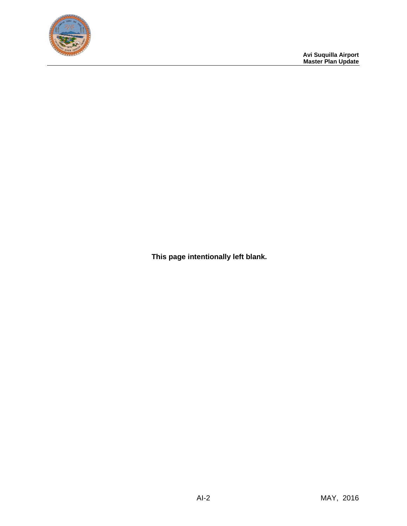

**Avi Suquilla Airport Master Plan Update**

**This page intentionally left blank.**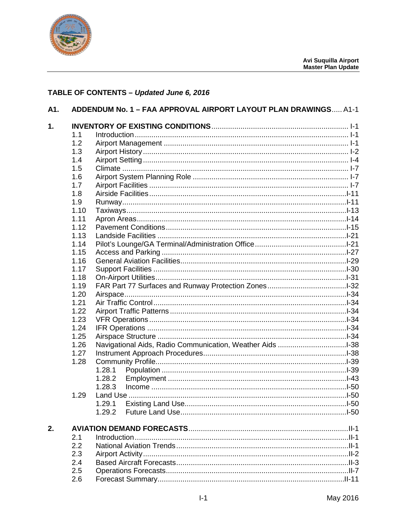

## TABLE OF CONTENTS - Updated June 6, 2016

| A1. |      | ADDENDUM No. 1 - FAA APPROVAL AIRPORT LAYOUT PLAN DRAWINGS A1-1 |  |
|-----|------|-----------------------------------------------------------------|--|
| 1.  |      |                                                                 |  |
|     | 1.1  |                                                                 |  |
|     | 1.2  |                                                                 |  |
|     | 1.3  |                                                                 |  |
|     | 1.4  |                                                                 |  |
|     | 1.5  |                                                                 |  |
|     | 1.6  |                                                                 |  |
|     | 1.7  |                                                                 |  |
|     | 1.8  |                                                                 |  |
|     | 1.9  |                                                                 |  |
|     | 1.10 |                                                                 |  |
|     | 1.11 |                                                                 |  |
|     | 1.12 |                                                                 |  |
|     | 1.13 |                                                                 |  |
|     | 1.14 |                                                                 |  |
|     | 1.15 |                                                                 |  |
|     | 1.16 |                                                                 |  |
|     | 1.17 |                                                                 |  |
|     | 1.18 |                                                                 |  |
|     | 1.19 |                                                                 |  |
|     | 1.20 |                                                                 |  |
|     | 1.21 |                                                                 |  |
|     | 1.22 |                                                                 |  |
|     | 1.23 |                                                                 |  |
|     | 1.24 |                                                                 |  |
|     | 1.25 |                                                                 |  |
|     | 1.26 |                                                                 |  |
|     | 1.27 |                                                                 |  |
|     | 1.28 |                                                                 |  |
|     |      | 1.28.1                                                          |  |
|     |      | 1.28.2                                                          |  |
|     |      | 1.28.3                                                          |  |
|     | 1.29 |                                                                 |  |
|     |      | 1.29.1                                                          |  |
|     |      | 1.29.2                                                          |  |
| 2.  |      |                                                                 |  |
|     | 2.1  |                                                                 |  |
|     | 2.2  |                                                                 |  |
|     | 2.3  |                                                                 |  |
|     | 2.4  |                                                                 |  |
|     | 2.5  |                                                                 |  |
|     | 2.6  |                                                                 |  |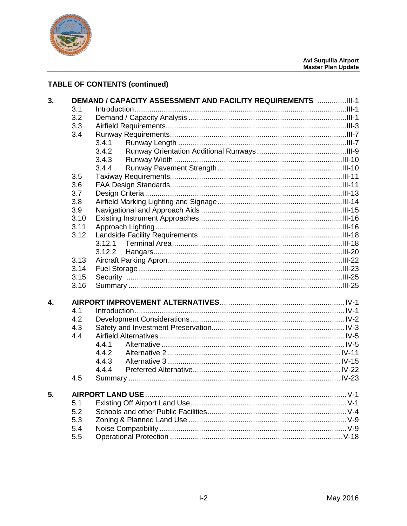

| 3. |      | DEMAND / CAPACITY ASSESSMENT AND FACILITY REQUIREMENTS !!!-1 |  |  |  |
|----|------|--------------------------------------------------------------|--|--|--|
|    | 3.1  |                                                              |  |  |  |
|    | 3.2  |                                                              |  |  |  |
|    | 3.3  |                                                              |  |  |  |
|    | 3.4  |                                                              |  |  |  |
|    |      | 3.4.1                                                        |  |  |  |
|    |      | 3.4.2                                                        |  |  |  |
|    |      | 3.4.3                                                        |  |  |  |
|    |      | 3.4.4                                                        |  |  |  |
|    | 3.5  |                                                              |  |  |  |
|    | 3.6  |                                                              |  |  |  |
|    | 3.7  |                                                              |  |  |  |
|    | 3.8  |                                                              |  |  |  |
|    | 3.9  |                                                              |  |  |  |
|    | 3.10 |                                                              |  |  |  |
|    | 3.11 |                                                              |  |  |  |
|    | 3.12 |                                                              |  |  |  |
|    |      | 3.12.1                                                       |  |  |  |
|    |      | 3.12.2                                                       |  |  |  |
|    | 3.13 |                                                              |  |  |  |
|    | 3.14 |                                                              |  |  |  |
|    | 3.15 |                                                              |  |  |  |
|    | 3.16 |                                                              |  |  |  |
| 4. |      |                                                              |  |  |  |
|    | 4.1  |                                                              |  |  |  |
|    | 4.2  |                                                              |  |  |  |
|    | 4.3  |                                                              |  |  |  |
|    | 4.4  |                                                              |  |  |  |
|    |      | 4.4.1                                                        |  |  |  |
|    |      | 4.4.2                                                        |  |  |  |
|    |      | 4.4.3                                                        |  |  |  |
|    |      | 4.4.4                                                        |  |  |  |
|    | 4.5  |                                                              |  |  |  |
| 5. |      |                                                              |  |  |  |
|    | 5.1  |                                                              |  |  |  |
|    | 5.2  |                                                              |  |  |  |
|    | 5.3  |                                                              |  |  |  |
|    | 5.4  |                                                              |  |  |  |
|    | 5.5  |                                                              |  |  |  |
|    |      |                                                              |  |  |  |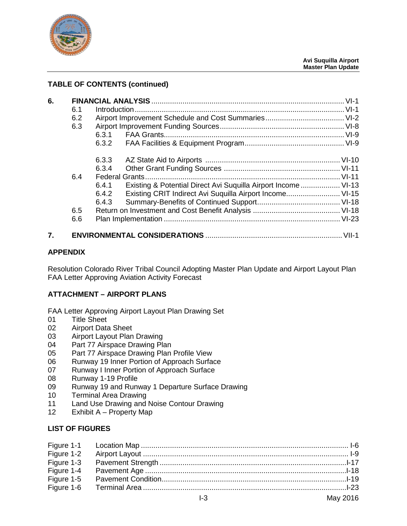

| 6. |     |                                                                         |  |
|----|-----|-------------------------------------------------------------------------|--|
|    | 6.1 |                                                                         |  |
|    | 6.2 |                                                                         |  |
|    | 6.3 |                                                                         |  |
|    |     | 6.3.1                                                                   |  |
|    |     | 6.3.2                                                                   |  |
|    |     | 6.3.3                                                                   |  |
|    |     | 6.3.4                                                                   |  |
|    | 6.4 |                                                                         |  |
|    |     | Existing & Potential Direct Avi Suquilla Airport Income  VI-13<br>6.4.1 |  |
|    |     | Existing CRIT Indirect Avi Suquilla Airport Income VI-15<br>6.4.2       |  |
|    |     | 6.4.3                                                                   |  |
|    | 6.5 |                                                                         |  |
|    | 6.6 |                                                                         |  |
| 7. |     |                                                                         |  |

### **APPENDIX**

Resolution Colorado River Tribal Council Adopting Master Plan Update and Airport Layout Plan FAA Letter Approving Aviation Activity Forecast

### **ATTACHMENT – AIRPORT PLANS**

FAA Letter Approving Airport Layout Plan Drawing Set

- 01 Title Sheet
- 02 Airport Data Sheet<br>03 Airport Lavout Plan
- Airport Layout Plan Drawing
- 04 Part 77 Airspace Drawing Plan
- 05 Part 77 Airspace Drawing Plan Profile View
- 06 Runway 19 Inner Portion of Approach Surface
- 07 Runway I Inner Portion of Approach Surface
- 08 Runway 1-19 Profile
- 09 Runway 19 and Runway 1 Departure Surface Drawing<br>10 Terminal Area Drawing
- 10 Terminal Area Drawing<br>11 I and Use Drawing and
- 11 Land Use Drawing and Noise Contour Drawing<br>12 Exhibit A Property Map
- $Exhibit A Property Map$

### **LIST OF FIGURES**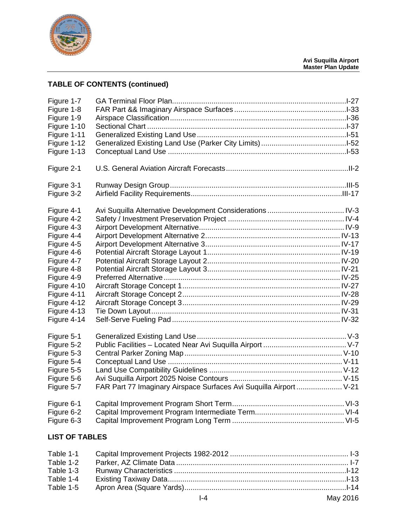

| Figure 1-7<br>Figure 1-8<br>Figure 1-9<br>Figure 1-10<br>Figure 1-11<br>Figure 1-12<br>Figure 1-13                                                                                                    |                                                                    |  |
|-------------------------------------------------------------------------------------------------------------------------------------------------------------------------------------------------------|--------------------------------------------------------------------|--|
| Figure 2-1                                                                                                                                                                                            |                                                                    |  |
| Figure 3-1<br>Figure 3-2                                                                                                                                                                              |                                                                    |  |
| Figure 4-1<br>Figure 4-2<br>Figure 4-3<br>Figure 4-4<br>Figure 4-5<br>Figure 4-6<br>Figure 4-7<br>Figure 4-8<br>Figure 4-9<br>Figure 4-10<br>Figure 4-11<br>Figure 4-12<br>Figure 4-13<br>Figure 4-14 |                                                                    |  |
| Figure 5-1<br>Figure 5-2<br>Figure 5-3<br>Figure 5-4<br>Figure 5-5<br>Figure 5-6<br>Figure 5-7<br>Figure 6-1<br>Figure 6-2<br>Figure 6-3                                                              | FAR Part 77 Imaginary Airspace Surfaces Avi Suquilla Airport  V-21 |  |

## **LIST OF TABLES**

| Table 1-1 |          |
|-----------|----------|
| Table 1-2 |          |
| Table 1-3 |          |
| Table 1-4 |          |
| Table 1-5 |          |
|           | May 2016 |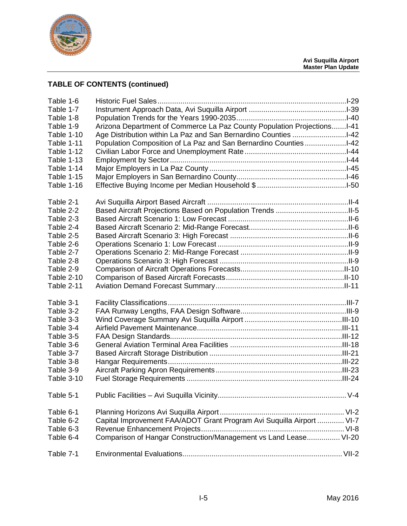

| Table 1-6         |                                                                          |
|-------------------|--------------------------------------------------------------------------|
| Table 1-7         |                                                                          |
| Table 1-8         |                                                                          |
| Table 1-9         | Arizona Department of Commerce La Paz County Population Projections I-41 |
| Table 1-10        |                                                                          |
| Table 1-11        | Population Composition of La Paz and San Bernardino Counties1-42         |
| Table 1-12        |                                                                          |
| <b>Table 1-13</b> |                                                                          |
| Table 1-14        |                                                                          |
| <b>Table 1-15</b> |                                                                          |
| Table 1-16        |                                                                          |
|                   |                                                                          |
| Table 2-1         |                                                                          |
| Table 2-2         |                                                                          |
| Table 2-3         |                                                                          |
| Table 2-4         |                                                                          |
| Table 2-5         |                                                                          |
| Table 2-6         |                                                                          |
| Table 2-7         |                                                                          |
| Table 2-8         |                                                                          |
| Table 2-9         |                                                                          |
| <b>Table 2-10</b> |                                                                          |
| <b>Table 2-11</b> |                                                                          |
|                   |                                                                          |
| Table 3-1         |                                                                          |
| Table 3-2         |                                                                          |
| Table 3-3         |                                                                          |
| Table 3-4         |                                                                          |
| Table 3-5         |                                                                          |
| Table 3-6         |                                                                          |
| Table 3-7         |                                                                          |
| Table 3-8         |                                                                          |
| Table 3-9         |                                                                          |
| Table 3-10        |                                                                          |
|                   |                                                                          |
| Table 5-1         |                                                                          |
|                   |                                                                          |
| Table 6-1         |                                                                          |
| Table 6-2         | Capital Improvement FAA/ADOT Grant Program Avi Suquilla Airport  VI-7    |
| Table 6-3         |                                                                          |
| Table 6-4         | Comparison of Hangar Construction/Management vs Land Lease VI-20         |
| Table 7-1         |                                                                          |
|                   |                                                                          |